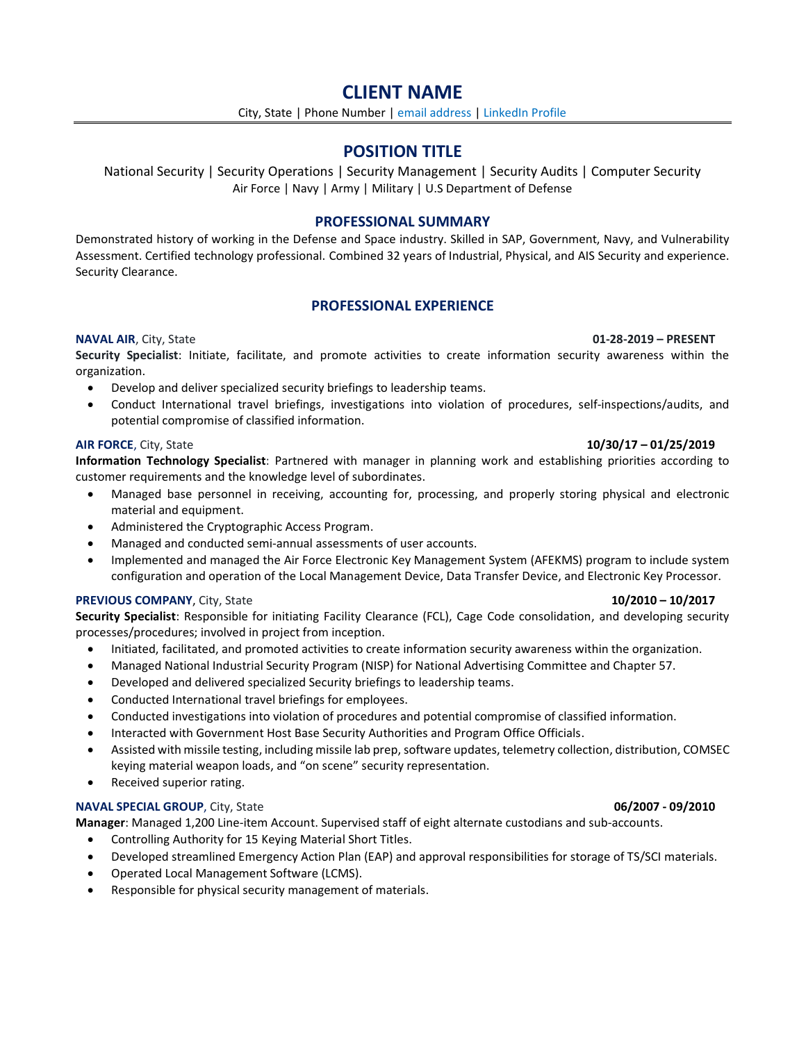# **CLIENT NAME**

City, State | Phone Number | email address | LinkedIn Profile

# **POSITION TITLE**

National Security | Security Operations | Security Management | Security Audits | Computer Security Air Force | Navy | Army | Military | U.S Department of Defense

# **PROFESSIONAL SUMMARY**

Demonstrated history of working in the Defense and Space industry. Skilled in SAP, Government, Navy, and Vulnerability Assessment. Certified technology professional. Combined 32 years of Industrial, Physical, and AIS Security and experience. Security Clearance.

# **PROFESSIONAL EXPERIENCE**

**Security Specialist**: Initiate, facilitate, and promote activities to create information security awareness within the organization.

- Develop and deliver specialized security briefings to leadership teams.
- Conduct International travel briefings, investigations into violation of procedures, self-inspections/audits, and potential compromise of classified information.

# **AIR FORCE**, City, State **10/30/17 – 01/25/2019**

**Information Technology Specialist**: Partnered with manager in planning work and establishing priorities according to customer requirements and the knowledge level of subordinates.

- Managed base personnel in receiving, accounting for, processing, and properly storing physical and electronic material and equipment.
- Administered the Cryptographic Access Program.
- Managed and conducted semi-annual assessments of user accounts.
- Implemented and managed the Air Force Electronic Key Management System (AFEKMS) program to include system configuration and operation of the Local Management Device, Data Transfer Device, and Electronic Key Processor.

# **PREVIOUS COMPANY**, City, State **10/2010 – 10/2017**

**Security Specialist**: Responsible for initiating Facility Clearance (FCL), Cage Code consolidation, and developing security processes/procedures; involved in project from inception.

- Initiated, facilitated, and promoted activities to create information security awareness within the organization.
- Managed National Industrial Security Program (NISP) for National Advertising Committee and Chapter 57.
- Developed and delivered specialized Security briefings to leadership teams.
- Conducted International travel briefings for employees.
- Conducted investigations into violation of procedures and potential compromise of classified information.
- Interacted with Government Host Base Security Authorities and Program Office Officials.
- Assisted with missile testing, including missile lab prep, software updates, telemetry collection, distribution, COMSEC keying material weapon loads, and "on scene" security representation.
- Received superior rating.

# **NAVAL SPECIAL GROUP**, City, State **06/2007 - 09/2010**

**Manager**: Managed 1,200 Line-item Account. Supervised staff of eight alternate custodians and sub-accounts.

- Controlling Authority for 15 Keying Material Short Titles.
- Developed streamlined Emergency Action Plan (EAP) and approval responsibilities for storage of TS/SCI materials.
- Operated Local Management Software (LCMS).
- Responsible for physical security management of materials.

# **NAVAL AIR**, City, State **01-28-2019 – PRESENT**